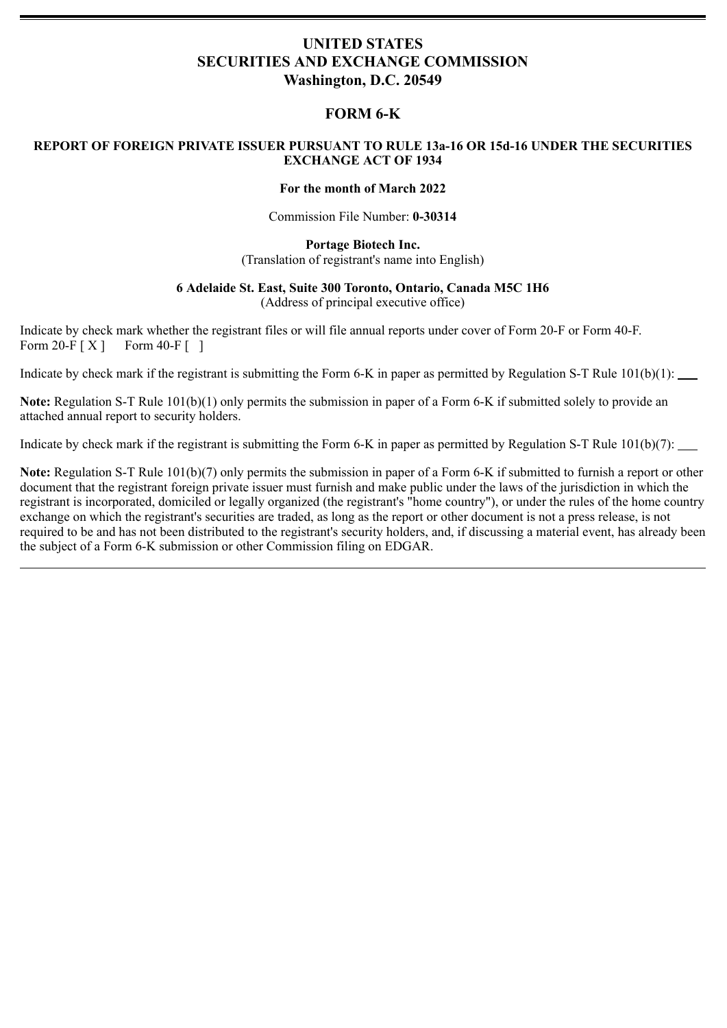# **UNITED STATES SECURITIES AND EXCHANGE COMMISSION Washington, D.C. 20549**

# **FORM 6-K**

## **REPORT OF FOREIGN PRIVATE ISSUER PURSUANT TO RULE 13a-16 OR 15d-16 UNDER THE SECURITIES EXCHANGE ACT OF 1934**

### **For the month of March 2022**

Commission File Number: **0-30314**

**Portage Biotech Inc.** (Translation of registrant's name into English)

## **6 Adelaide St. East, Suite 300 Toronto, Ontario, Canada M5C 1H6**

(Address of principal executive office)

Indicate by check mark whether the registrant files or will file annual reports under cover of Form 20-F or Form 40-F. Form  $20-F[X]$  Form  $40-F$  [ ]

Indicate by check mark if the registrant is submitting the Form 6-K in paper as permitted by Regulation S-T Rule 101(b)(1):

**Note:** Regulation S-T Rule 101(b)(1) only permits the submission in paper of a Form 6-K if submitted solely to provide an attached annual report to security holders.

Indicate by check mark if the registrant is submitting the Form 6-K in paper as permitted by Regulation S-T Rule 101(b)(7): \_\_\_\_\_\_

**Note:** Regulation S-T Rule 101(b)(7) only permits the submission in paper of a Form 6-K if submitted to furnish a report or other document that the registrant foreign private issuer must furnish and make public under the laws of the jurisdiction in which the registrant is incorporated, domiciled or legally organized (the registrant's "home country"), or under the rules of the home country exchange on which the registrant's securities are traded, as long as the report or other document is not a press release, is not required to be and has not been distributed to the registrant's security holders, and, if discussing a material event, has already been the subject of a Form 6-K submission or other Commission filing on EDGAR.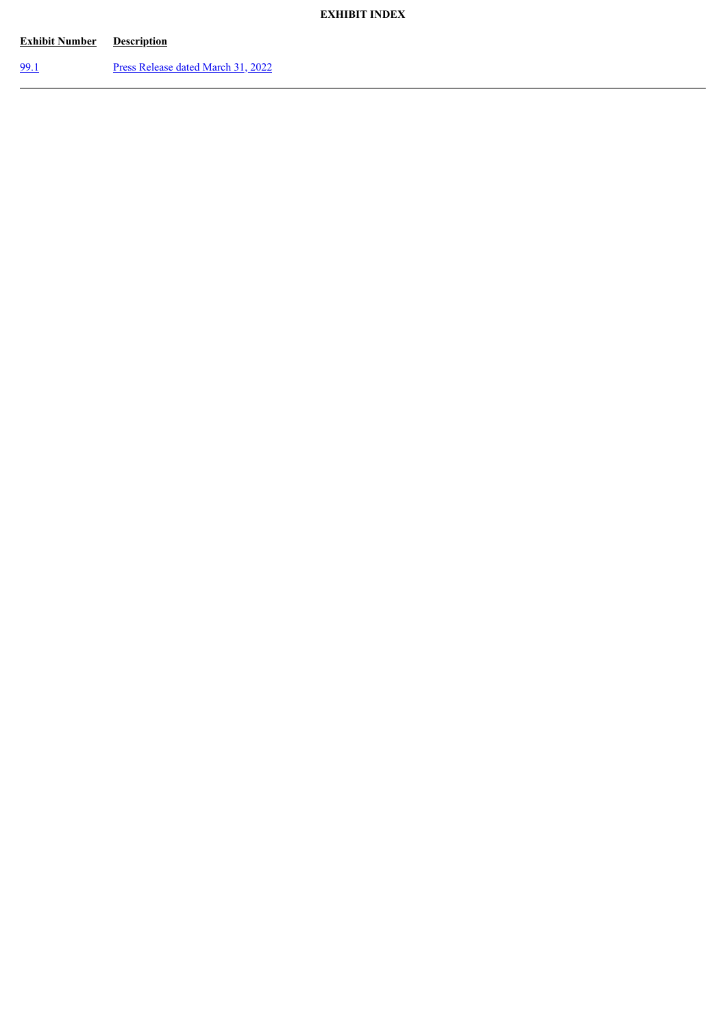## **EXHIBIT INDEX**

| <b>Exhibit Number</b> | <b>Description</b>                 |
|-----------------------|------------------------------------|
| 99.1                  | Press Release dated March 31, 2022 |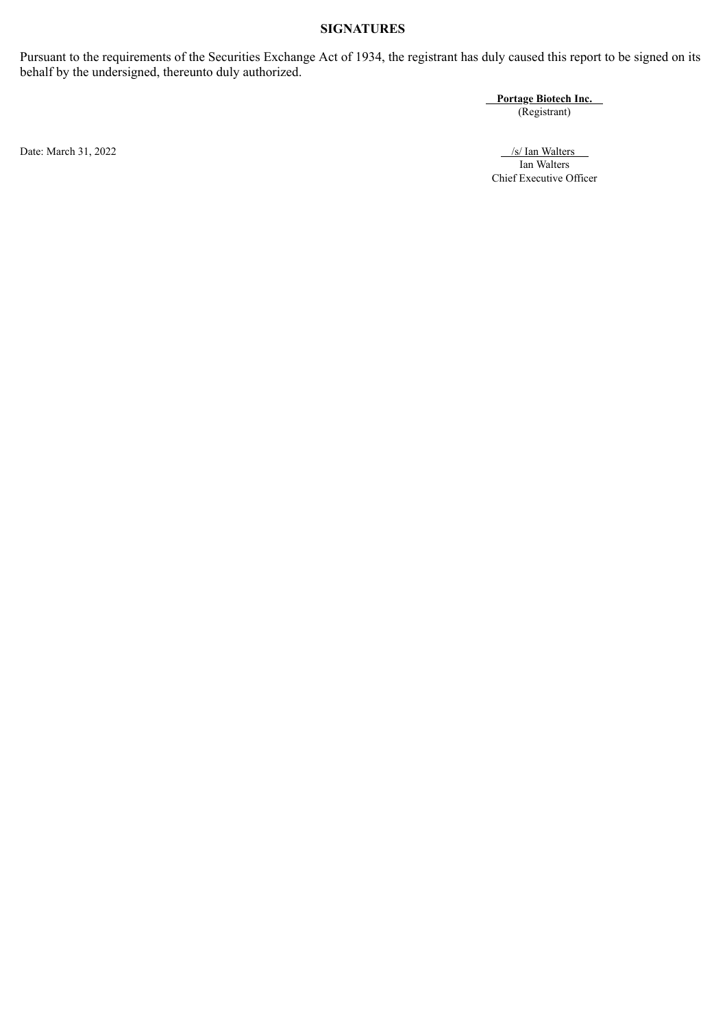## **SIGNATURES**

Pursuant to the requirements of the Securities Exchange Act of 1934, the registrant has duly caused this report to be signed on its behalf by the undersigned, thereunto duly authorized.

**Portage Biotech Inc.**

(Registrant)

Date: March 31, 2022 /s/ Ian Walters /s/ Ian Walters /s/ Ian Walters /s/ Ian Walters /s/ Ian Walters /s/ Ian Walters /s/ Ian Walters /s/ Ian Walters /s/ Ian Walters /s/ Ian Walters /s/ Ian Walters /s/ Ian Walters /s/ Ian W Ian Walters Chief Executive Officer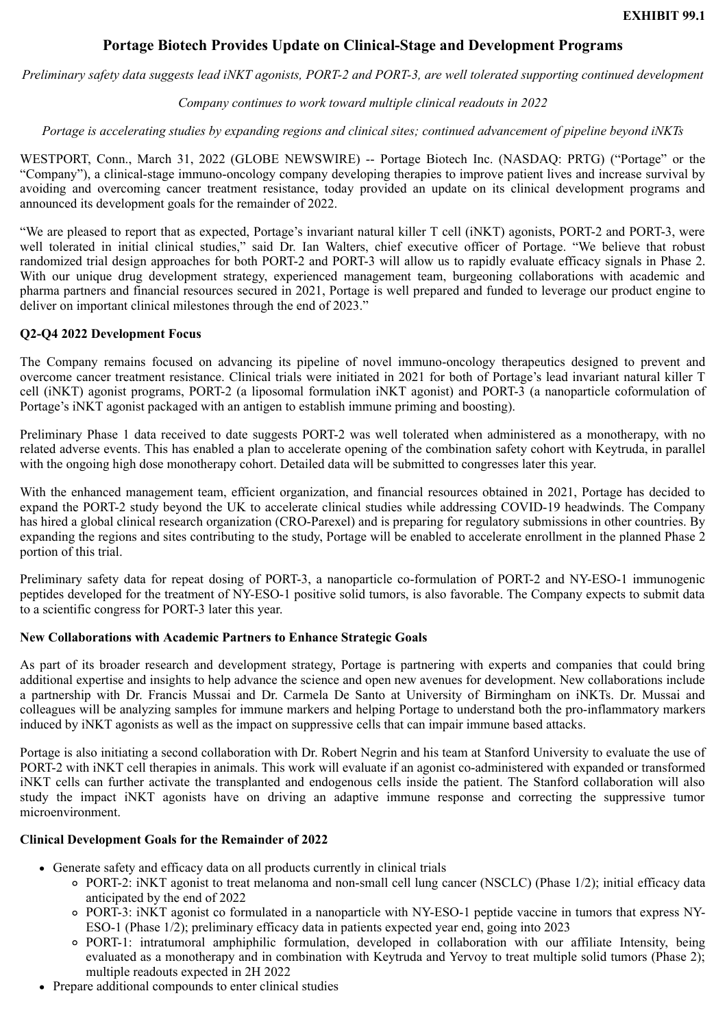## **Portage Biotech Provides Update on Clinical-Stage and Development Programs**

<span id="page-3-0"></span>*Preliminary safety data suggests lead iNKT agonists, PORT-2 and PORT-3, are well tolerated supporting continued development*

### *Company continues to work toward multiple clinical readouts in 2022*

### *Portage is accelerating studies by expanding regions and clinical sites; continued advancement of pipeline beyond iNKTs*

WESTPORT, Conn., March 31, 2022 (GLOBE NEWSWIRE) -- Portage Biotech Inc. (NASDAQ: PRTG) ("Portage" or the "Company"), a clinical-stage immuno-oncology company developing therapies to improve patient lives and increase survival by avoiding and overcoming cancer treatment resistance, today provided an update on its clinical development programs and announced its development goals for the remainder of 2022.

"We are pleased to report that as expected, Portage's invariant natural killer T cell (iNKT) agonists, PORT-2 and PORT-3, were well tolerated in initial clinical studies," said Dr. Ian Walters, chief executive officer of Portage. "We believe that robust randomized trial design approaches for both PORT-2 and PORT-3 will allow us to rapidly evaluate efficacy signals in Phase 2. With our unique drug development strategy, experienced management team, burgeoning collaborations with academic and pharma partners and financial resources secured in 2021, Portage is well prepared and funded to leverage our product engine to deliver on important clinical milestones through the end of 2023."

### **Q2-Q4 2022 Development Focus**

The Company remains focused on advancing its pipeline of novel immuno-oncology therapeutics designed to prevent and overcome cancer treatment resistance. Clinical trials were initiated in 2021 for both of Portage's lead invariant natural killer T cell (iNKT) agonist programs, PORT-2 (a liposomal formulation iNKT agonist) and PORT-3 (a nanoparticle coformulation of Portage's iNKT agonist packaged with an antigen to establish immune priming and boosting).

Preliminary Phase 1 data received to date suggests PORT-2 was well tolerated when administered as a monotherapy, with no related adverse events. This has enabled a plan to accelerate opening of the combination safety cohort with Keytruda, in parallel with the ongoing high dose monotherapy cohort. Detailed data will be submitted to congresses later this year.

With the enhanced management team, efficient organization, and financial resources obtained in 2021, Portage has decided to expand the PORT-2 study beyond the UK to accelerate clinical studies while addressing COVID-19 headwinds. The Company has hired a global clinical research organization (CRO-Parexel) and is preparing for regulatory submissions in other countries. By expanding the regions and sites contributing to the study, Portage will be enabled to accelerate enrollment in the planned Phase 2 portion of this trial.

Preliminary safety data for repeat dosing of PORT-3, a nanoparticle co-formulation of PORT-2 and NY-ESO-1 immunogenic peptides developed for the treatment of NY-ESO-1 positive solid tumors, is also favorable. The Company expects to submit data to a scientific congress for PORT-3 later this year.

#### **New Collaborations with Academic Partners to Enhance Strategic Goals**

As part of its broader research and development strategy, Portage is partnering with experts and companies that could bring additional expertise and insights to help advance the science and open new avenues for development. New collaborations include a partnership with Dr. Francis Mussai and Dr. Carmela De Santo at University of Birmingham on iNKTs. Dr. Mussai and colleagues will be analyzing samples for immune markers and helping Portage to understand both the pro-inflammatory markers induced by iNKT agonists as well as the impact on suppressive cells that can impair immune based attacks.

Portage is also initiating a second collaboration with Dr. Robert Negrin and his team at Stanford University to evaluate the use of PORT-2 with iNKT cell therapies in animals. This work will evaluate if an agonist co-administered with expanded or transformed iNKT cells can further activate the transplanted and endogenous cells inside the patient. The Stanford collaboration will also study the impact iNKT agonists have on driving an adaptive immune response and correcting the suppressive tumor microenvironment.

#### **Clinical Development Goals for the Remainder of 2022**

- Generate safety and efficacy data on all products currently in clinical trials
	- PORT-2: iNKT agonist to treat melanoma and non-small cell lung cancer (NSCLC) (Phase 1/2); initial efficacy data anticipated by the end of 2022
	- PORT-3: iNKT agonist co formulated in a nanoparticle with NY-ESO-1 peptide vaccine in tumors that express NY-ESO-1 (Phase 1/2); preliminary efficacy data in patients expected year end, going into 2023
	- PORT-1: intratumoral amphiphilic formulation, developed in collaboration with our affiliate Intensity, being evaluated as a monotherapy and in combination with Keytruda and Yervoy to treat multiple solid tumors (Phase 2); multiple readouts expected in 2H 2022
- Prepare additional compounds to enter clinical studies